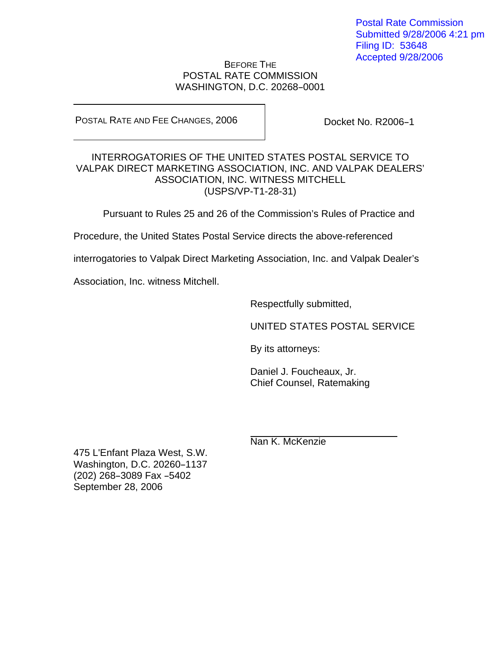Postal Rate Commission Submitted 9/28/2006 4:21 pm Filing ID: 53648 Accepted 9/28/2006

## BEFORE THE POSTAL RATE COMMISSION WASHINGTON, D.C. 20268-0001

POSTAL RATE AND FEE CHANGES, 2006

Docket No. R2006-1

## INTERROGATORIES OF THE UNITED STATES POSTAL SERVICE TO VALPAK DIRECT MARKETING ASSOCIATION, INC. AND VALPAK DEALERS' ASSOCIATION, INC. WITNESS MITCHELL (USPS/VP-T1-28-31)

Pursuant to Rules 25 and 26 of the Commission's Rules of Practice and

Procedure, the United States Postal Service directs the above-referenced

interrogatories to Valpak Direct Marketing Association, Inc. and Valpak Dealer's

Association, Inc. witness Mitchell.

Respectfully submitted,

UNITED STATES POSTAL SERVICE

By its attorneys:

Daniel J. Foucheaux, Jr. Chief Counsel, Ratemaking

Nan K. McKenzie

475 L'Enfant Plaza West, S.W. Washington, D.C. 20260-1137 (202) 268-3089 Fax -5402 September 28, 2006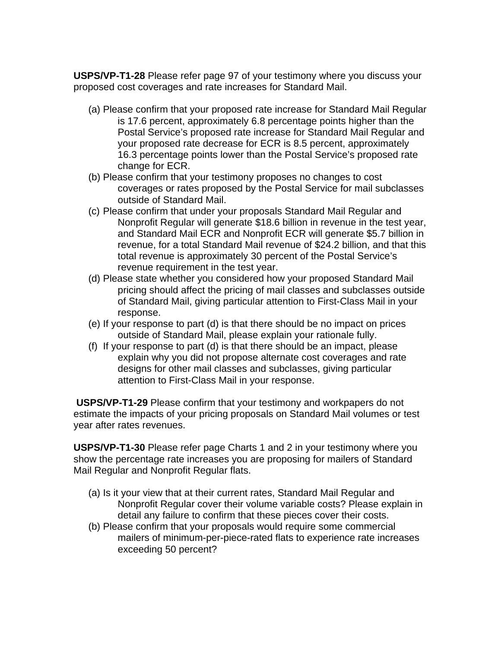**USPS/VP-T1-28** Please refer page 97 of your testimony where you discuss your proposed cost coverages and rate increases for Standard Mail.

- (a) Please confirm that your proposed rate increase for Standard Mail Regular is 17.6 percent, approximately 6.8 percentage points higher than the Postal Service's proposed rate increase for Standard Mail Regular and your proposed rate decrease for ECR is 8.5 percent, approximately 16.3 percentage points lower than the Postal Service's proposed rate change for ECR.
- (b) Please confirm that your testimony proposes no changes to cost coverages or rates proposed by the Postal Service for mail subclasses outside of Standard Mail.
- (c) Please confirm that under your proposals Standard Mail Regular and Nonprofit Regular will generate \$18.6 billion in revenue in the test year, and Standard Mail ECR and Nonprofit ECR will generate \$5.7 billion in revenue, for a total Standard Mail revenue of \$24.2 billion, and that this total revenue is approximately 30 percent of the Postal Service's revenue requirement in the test year.
- (d) Please state whether you considered how your proposed Standard Mail pricing should affect the pricing of mail classes and subclasses outside of Standard Mail, giving particular attention to First-Class Mail in your response.
- (e) If your response to part (d) is that there should be no impact on prices outside of Standard Mail, please explain your rationale fully.
- (f) If your response to part (d) is that there should be an impact, please explain why you did not propose alternate cost coverages and rate designs for other mail classes and subclasses, giving particular attention to First-Class Mail in your response.

**USPS/VP-T1-29** Please confirm that your testimony and workpapers do not estimate the impacts of your pricing proposals on Standard Mail volumes or test year after rates revenues.

**USPS/VP-T1-30** Please refer page Charts 1 and 2 in your testimony where you show the percentage rate increases you are proposing for mailers of Standard Mail Regular and Nonprofit Regular flats.

- (a) Is it your view that at their current rates, Standard Mail Regular and Nonprofit Regular cover their volume variable costs? Please explain in detail any failure to confirm that these pieces cover their costs.
- (b) Please confirm that your proposals would require some commercial mailers of minimum-per-piece-rated flats to experience rate increases exceeding 50 percent?